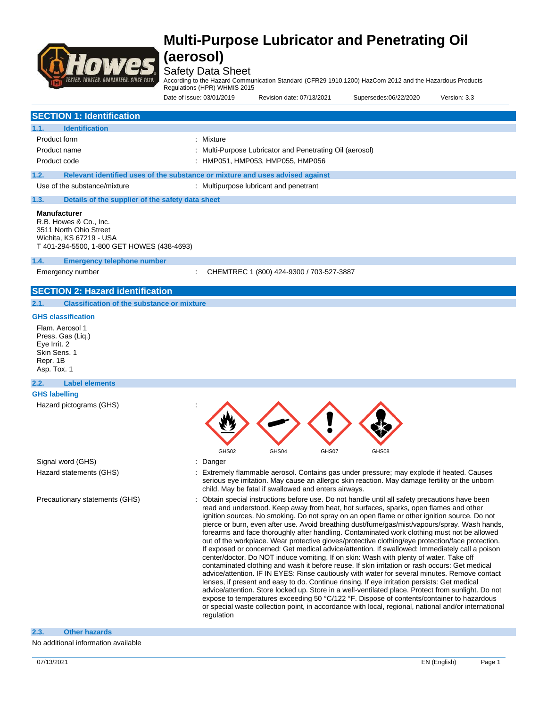

### Safety Data Sheet

According to the Hazard Communication Standard (CFR29 1910.1200) HazCom 2012 and the Hazardous Products

Regulations (HPR) WHMIS 2015

Date of issue: 03/01/2019 Revision date: 07/13/2021 Supersedes:06/22/2020 Version: 3.3

|                                                                                                                           | Dale VI ISSUE. VYV I/ZV I S                                                   | $R$ is considerable. On Fig. 2021                        | OUDCISCUCS.OUIZZIZUZU | $v$ Gioiuli. U.U |
|---------------------------------------------------------------------------------------------------------------------------|-------------------------------------------------------------------------------|----------------------------------------------------------|-----------------------|------------------|
| <b>SECTION 1: Identification</b>                                                                                          |                                                                               |                                                          |                       |                  |
| <b>Identification</b><br>1.1.                                                                                             |                                                                               |                                                          |                       |                  |
| Product form                                                                                                              | : Mixture                                                                     |                                                          |                       |                  |
| Product name                                                                                                              |                                                                               | : Multi-Purpose Lubricator and Penetrating Oil (aerosol) |                       |                  |
| Product code                                                                                                              |                                                                               | : HMP051, HMP053, HMP055, HMP056                         |                       |                  |
| 1.2.                                                                                                                      | Relevant identified uses of the substance or mixture and uses advised against |                                                          |                       |                  |
| Use of the substance/mixture                                                                                              |                                                                               | : Multipurpose lubricant and penetrant                   |                       |                  |
| 1.3.<br>Details of the supplier of the safety data sheet                                                                  |                                                                               |                                                          |                       |                  |
| R.B. Howes & Co., Inc.<br>3511 North Ohio Street<br>Wichita, KS 67219 - USA<br>T 401-294-5500, 1-800 GET HOWES (438-4693) |                                                                               |                                                          |                       |                  |
| 1.4.<br><b>Emergency telephone number</b>                                                                                 |                                                                               |                                                          |                       |                  |
| Emergency number                                                                                                          |                                                                               | CHEMTREC 1 (800) 424-9300 / 703-527-3887                 |                       |                  |
| <b>SECTION 2: Hazard identification</b>                                                                                   |                                                                               |                                                          |                       |                  |
| <b>Classification of the substance or mixture</b><br>2.1.                                                                 |                                                                               |                                                          |                       |                  |
| <b>GHS classification</b>                                                                                                 |                                                                               |                                                          |                       |                  |
| Flam. Aerosol 1<br>Press. Gas (Liq.)<br>Eye Irrit. 2<br>Skin Sens. 1<br>Repr. 1B                                          |                                                                               |                                                          |                       |                  |

Asp. Tox. 1

### **2.2. Label elements**

**GHS labelling** Hazard pictograms (GHS) :

Signal word (GHS) **Signal word** (GHS) **Signal word** (GHS) **Signal** and  $\overline{S}$  and  $\overline{S}$  and  $\overline{S}$  and  $\overline{S}$  and  $\overline{S}$  and  $\overline{S}$  and  $\overline{S}$  and  $\overline{S}$  and  $\overline{S}$  and  $\overline{S}$  and  $\overline{S}$  and  $\overline{S}$ 

- GHS02 GHS04 GHS07 GHS08
- 
- Hazard statements (GHS) : Extremely flammable aerosol. Contains gas under pressure; may explode if heated. Causes serious eye irritation. May cause an allergic skin reaction. May damage fertility or the unborn child. May be fatal if swallowed and enters airways.
- Precautionary statements (GHS) : Obtain special instructions before use. Do not handle until all safety precautions have been read and understood. Keep away from heat, hot surfaces, sparks, open flames and other ignition sources. No smoking. Do not spray on an open flame or other ignition source. Do not pierce or burn, even after use. Avoid breathing dust/fume/gas/mist/vapours/spray. Wash hands, forearms and face thoroughly after handling. Contaminated work clothing must not be allowed out of the workplace. Wear protective gloves/protective clothing/eye protection/face protection. If exposed or concerned: Get medical advice/attention. If swallowed: Immediately call a poison center/doctor. Do NOT induce vomiting. If on skin: Wash with plenty of water. Take off contaminated clothing and wash it before reuse. If skin irritation or rash occurs: Get medical advice/attention. IF IN EYES: Rinse cautiously with water for several minutes. Remove contact lenses, if present and easy to do. Continue rinsing. If eye irritation persists: Get medical advice/attention. Store locked up. Store in a well-ventilated place. Protect from sunlight. Do not expose to temperatures exceeding 50 °C/122 °F. Dispose of contents/container to hazardous or special waste collection point, in accordance with local, regional, national and/or international regulation

#### **2.3. Other hazards**

No additional information available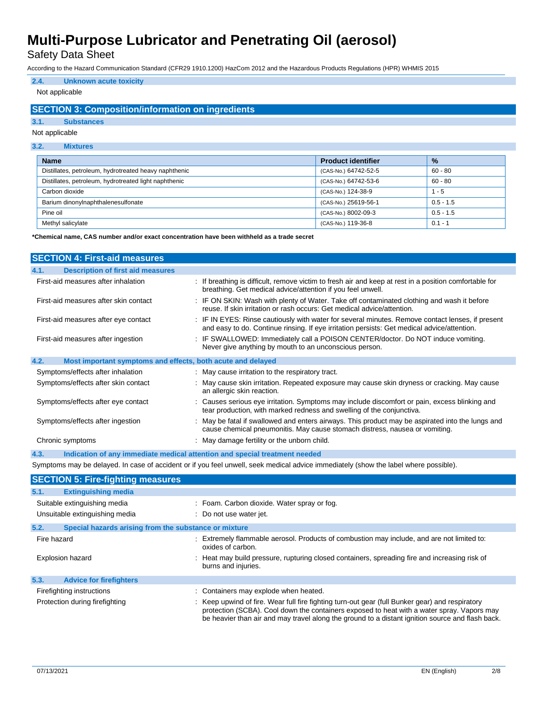Safety Data Sheet

According to the Hazard Communication Standard (CFR29 1910.1200) HazCom 2012 and the Hazardous Products Regulations (HPR) WHMIS 2015

### **2.4. Unknown acute toxicity**

### Not applicable

### **SECTION 3: Composition/information on ingredients**

#### **3.1. Substances**

Not applicable

#### **3.2. Mixtures**

| <b>Name</b>                                           | <b>Product identifier</b> | $\frac{9}{6}$ |
|-------------------------------------------------------|---------------------------|---------------|
| Distillates, petroleum, hydrotreated heavy naphthenic | (CAS-No.) 64742-52-5      | $60 - 80$     |
| Distillates, petroleum, hydrotreated light naphthenic | (CAS-No.) 64742-53-6      | $60 - 80$     |
| Carbon dioxide                                        | (CAS-No.) 124-38-9        | $1 - 5$       |
| Barium dinonylnaphthalenesulfonate                    | (CAS-No.) 25619-56-1      | $0.5 - 1.5$   |
| Pine oil                                              | (CAS-No.) 8002-09-3       | $0.5 - 1.5$   |
| Methyl salicylate                                     | (CAS-No.) 119-36-8        | $0.1 - 1$     |

**\*Chemical name, CAS number and/or exact concentration have been withheld as a trade secret**

| <b>SECTION 4: First-aid measures</b>                                |                                                                                                                                                                                                 |
|---------------------------------------------------------------------|-------------------------------------------------------------------------------------------------------------------------------------------------------------------------------------------------|
| <b>Description of first aid measures</b><br>4.1.                    |                                                                                                                                                                                                 |
| First-aid measures after inhalation                                 | : If breathing is difficult, remove victim to fresh air and keep at rest in a position comfortable for<br>breathing. Get medical advice/attention if you feel unwell.                           |
| First-aid measures after skin contact                               | : IF ON SKIN: Wash with plenty of Water. Take off contaminated clothing and wash it before<br>reuse. If skin irritation or rash occurs: Get medical advice/attention.                           |
| First-aid measures after eye contact                                | : IF IN EYES: Rinse cautiously with water for several minutes. Remove contact lenses, if present<br>and easy to do. Continue rinsing. If eye irritation persists: Get medical advice/attention. |
| First-aid measures after ingestion                                  | : IF SWALLOWED: Immediately call a POISON CENTER/doctor. Do NOT induce vomiting.<br>Never give anything by mouth to an unconscious person.                                                      |
| 4.2.<br>Most important symptoms and effects, both acute and delayed |                                                                                                                                                                                                 |
| Symptoms/effects after inhalation                                   | : May cause irritation to the respiratory tract.                                                                                                                                                |
| Symptoms/effects after skin contact                                 | : May cause skin irritation. Repeated exposure may cause skin dryness or cracking. May cause<br>an allergic skin reaction.                                                                      |
| Symptoms/effects after eye contact                                  | : Causes serious eye irritation. Symptoms may include discomfort or pain, excess blinking and<br>tear production, with marked redness and swelling of the conjunctiva.                          |
| Symptoms/effects after ingestion                                    | : May be fatal if swallowed and enters airways. This product may be aspirated into the lungs and<br>cause chemical pneumonitis. May cause stomach distress, nausea or vomiting.                 |
| Chronic symptoms                                                    | : May damage fertility or the unborn child.                                                                                                                                                     |
| 4.3.                                                                | Indication of any immediate medical attention and special treatment needed                                                                                                                      |

Symptoms may be delayed. In case of accident or if you feel unwell, seek medical advice immediately (show the label where possible).

| <b>SECTION 5: Fire-fighting measures</b> |                                                                                                                                                                                                                                                                                                   |
|------------------------------------------|---------------------------------------------------------------------------------------------------------------------------------------------------------------------------------------------------------------------------------------------------------------------------------------------------|
| 5.1.<br><b>Extinguishing media</b>       |                                                                                                                                                                                                                                                                                                   |
| Suitable extinguishing media             | : Foam. Carbon dioxide. Water spray or fog.                                                                                                                                                                                                                                                       |
| Unsuitable extinguishing media           | : Do not use water jet.                                                                                                                                                                                                                                                                           |
| 5.2.                                     | Special hazards arising from the substance or mixture                                                                                                                                                                                                                                             |
| Fire hazard                              | : Extremely flammable aerosol. Products of combustion may include, and are not limited to:<br>oxides of carbon.                                                                                                                                                                                   |
| <b>Explosion hazard</b>                  | : Heat may build pressure, rupturing closed containers, spreading fire and increasing risk of<br>burns and injuries.                                                                                                                                                                              |
| 5.3.<br><b>Advice for firefighters</b>   |                                                                                                                                                                                                                                                                                                   |
| Firefighting instructions                | : Containers may explode when heated.                                                                                                                                                                                                                                                             |
| Protection during firefighting           | : Keep upwind of fire. Wear full fire fighting turn-out gear (full Bunker gear) and respiratory<br>protection (SCBA). Cool down the containers exposed to heat with a water spray. Vapors may<br>be heavier than air and may travel along the ground to a distant ignition source and flash back. |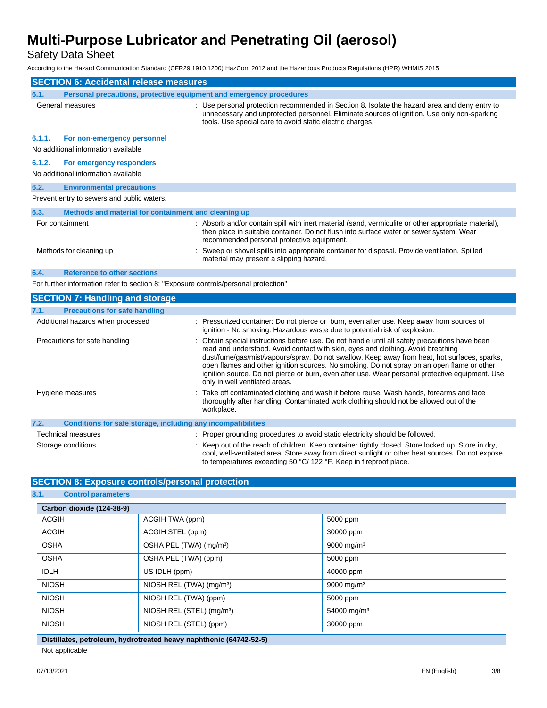Safety Data Sheet

According to the Hazard Communication Standard (CFR29 1910.1200) HazCom 2012 and the Hazardous Products Regulations (HPR) WHMIS 2015

| <b>SECTION 6: Accidental release measures</b>                                       |                                                                                                                                                                                                                                                           |  |
|-------------------------------------------------------------------------------------|-----------------------------------------------------------------------------------------------------------------------------------------------------------------------------------------------------------------------------------------------------------|--|
| Personal precautions, protective equipment and emergency procedures<br>6.1.         |                                                                                                                                                                                                                                                           |  |
| General measures                                                                    | : Use personal protection recommended in Section 8. Isolate the hazard area and deny entry to<br>unnecessary and unprotected personnel. Eliminate sources of ignition. Use only non-sparking<br>tools. Use special care to avoid static electric charges. |  |
| 6.1.1.<br>For non-emergency personnel<br>No additional information available        |                                                                                                                                                                                                                                                           |  |
| 6.1.2.<br>For emergency responders<br>No additional information available           |                                                                                                                                                                                                                                                           |  |
| <b>Environmental precautions</b><br>6.2.                                            |                                                                                                                                                                                                                                                           |  |
| Prevent entry to sewers and public waters.                                          |                                                                                                                                                                                                                                                           |  |
| 6.3.<br>Methods and material for containment and cleaning up                        |                                                                                                                                                                                                                                                           |  |
| For containment                                                                     | : Absorb and/or contain spill with inert material (sand, vermiculite or other appropriate material),<br>then place in suitable container. Do not flush into surface water or sewer system. Wear<br>recommended personal protective equipment.             |  |
| Methods for cleaning up                                                             | Sweep or shovel spills into appropriate container for disposal. Provide ventilation. Spilled<br>material may present a slipping hazard.                                                                                                                   |  |
| <b>Reference to other sections</b><br>6.4.                                          |                                                                                                                                                                                                                                                           |  |
| For further information refer to section 8: "Exposure controls/personal protection" |                                                                                                                                                                                                                                                           |  |
| <b>SECTION 7: Handling and storage</b>                                              |                                                                                                                                                                                                                                                           |  |
| <b>Precautions for safe handling</b><br>7.1.                                        |                                                                                                                                                                                                                                                           |  |
| Additional hazards when processed                                                   | : Pressurized container: Do not pierce or burn, even after use. Keep away from sources of                                                                                                                                                                 |  |

|                                                                      | ignition - No smoking. Hazardous waste due to potential risk of explosion.                                                                                                                                                                                                                                                                                                                                                                                                                                            |
|----------------------------------------------------------------------|-----------------------------------------------------------------------------------------------------------------------------------------------------------------------------------------------------------------------------------------------------------------------------------------------------------------------------------------------------------------------------------------------------------------------------------------------------------------------------------------------------------------------|
| Precautions for safe handling                                        | : Obtain special instructions before use. Do not handle until all safety precautions have been<br>read and understood. Avoid contact with skin, eyes and clothing. Avoid breathing<br>dust/fume/gas/mist/vapours/spray. Do not swallow. Keep away from heat, hot surfaces, sparks,<br>open flames and other ignition sources. No smoking. Do not spray on an open flame or other<br>ignition source. Do not pierce or burn, even after use. Wear personal protective equipment. Use<br>only in well ventilated areas. |
| Hygiene measures                                                     | : Take off contaminated clothing and wash it before reuse. Wash hands, forearms and face<br>thoroughly after handling. Contaminated work clothing should not be allowed out of the<br>workplace.                                                                                                                                                                                                                                                                                                                      |
| 7.2.<br>Conditions for safe storage, including any incompatibilities |                                                                                                                                                                                                                                                                                                                                                                                                                                                                                                                       |
| Technical measures                                                   | : Proper grounding procedures to avoid static electricity should be followed.                                                                                                                                                                                                                                                                                                                                                                                                                                         |
| Storage conditions                                                   | : Keep out of the reach of children. Keep container tightly closed. Store locked up. Store in dry,<br>cool, well-ventilated area. Store away from direct sunlight or other heat sources. Do not expose                                                                                                                                                                                                                                                                                                                |

to temperatures exceeding 50 °C/ 122 °F. Keep in fireproof place.

### **SECTION 8: Exposure controls/personal protection**

| O.1.<br><b>CONTROL parameters</b>                                  |                                       |                         |  |
|--------------------------------------------------------------------|---------------------------------------|-------------------------|--|
| Carbon dioxide (124-38-9)                                          |                                       |                         |  |
| <b>ACGIH</b>                                                       | ACGIH TWA (ppm)                       | 5000 ppm                |  |
| <b>ACGIH</b>                                                       | ACGIH STEL (ppm)                      | 30000 ppm               |  |
| <b>OSHA</b>                                                        | OSHA PEL (TWA) (mg/m <sup>3</sup> )   | 9000 mg/m <sup>3</sup>  |  |
| <b>OSHA</b>                                                        | OSHA PEL (TWA) (ppm)                  | 5000 ppm                |  |
| <b>IDLH</b>                                                        | US IDLH (ppm)                         | 40000 ppm               |  |
| <b>NIOSH</b>                                                       | NIOSH REL (TWA) (mg/m <sup>3</sup> )  | 9000 mg/m <sup>3</sup>  |  |
| <b>NIOSH</b>                                                       | NIOSH REL (TWA) (ppm)                 | 5000 ppm                |  |
| <b>NIOSH</b>                                                       | NIOSH REL (STEL) (mg/m <sup>3</sup> ) | 54000 mg/m <sup>3</sup> |  |
| <b>NIOSH</b>                                                       | NIOSH REL (STEL) (ppm)                | 30000 ppm               |  |
| Distillates, petroleum, hydrotreated heavy naphthenic (64742-52-5) |                                       |                         |  |
| Not applicable                                                     |                                       |                         |  |

**8.1. Control parameters**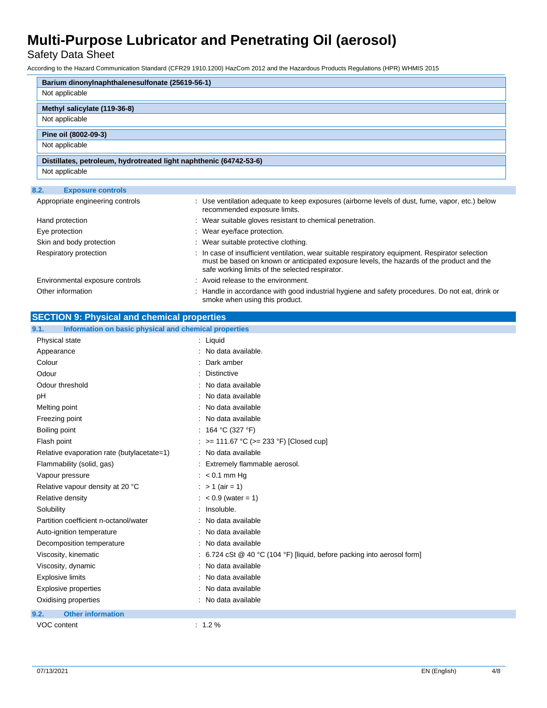Safety Data Sheet

According to the Hazard Communication Standard (CFR29 1910.1200) HazCom 2012 and the Hazardous Products Regulations (HPR) WHMIS 2015

| Barium dinonylnaphthalenesulfonate (25619-56-1)                    |  |
|--------------------------------------------------------------------|--|
| Not applicable                                                     |  |
| Methyl salicylate (119-36-8)                                       |  |
| Not applicable                                                     |  |
| Pine oil (8002-09-3)                                               |  |
| Not applicable                                                     |  |
| Distillates, petroleum, hydrotreated light naphthenic (64742-53-6) |  |
| Not applicable                                                     |  |
| 8.2.<br><b>Exposure controls</b>                                   |  |

| Appropriate engineering controls | : Use ventilation adequate to keep exposures (airborne levels of dust, fume, vapor, etc.) below<br>recommended exposure limits.                                                                                                                  |
|----------------------------------|--------------------------------------------------------------------------------------------------------------------------------------------------------------------------------------------------------------------------------------------------|
| Hand protection                  | : Wear suitable gloves resistant to chemical penetration.                                                                                                                                                                                        |
| Eye protection                   | : Wear eye/face protection.                                                                                                                                                                                                                      |
| Skin and body protection         | : Wear suitable protective clothing.                                                                                                                                                                                                             |
| Respiratory protection           | : In case of insufficient ventilation, wear suitable respiratory equipment. Respirator selection<br>must be based on known or anticipated exposure levels, the hazards of the product and the<br>safe working limits of the selected respirator. |
| Environmental exposure controls  | : Avoid release to the environment.                                                                                                                                                                                                              |
| Other information                | : Handle in accordance with good industrial hygiene and safety procedures. Do not eat, drink or<br>smoke when using this product.                                                                                                                |

| <b>SECTION 9: Physical and chemical properties</b> |
|----------------------------------------------------|
|----------------------------------------------------|

| 9.1.<br>Information on basic physical and chemical properties |                                                                           |  |
|---------------------------------------------------------------|---------------------------------------------------------------------------|--|
| Physical state                                                | : Liquid                                                                  |  |
| Appearance                                                    | : No data available.                                                      |  |
| Colour                                                        | : Dark amber                                                              |  |
| Odour                                                         | <b>Distinctive</b>                                                        |  |
| Odour threshold                                               | : No data available                                                       |  |
| pH                                                            | : No data available                                                       |  |
| Melting point                                                 | : No data available                                                       |  |
| Freezing point                                                | : No data available                                                       |  |
| Boiling point                                                 | : 164 °C (327 °F)                                                         |  |
| Flash point                                                   | : >= 111.67 °C (>= 233 °F) [Closed cup]                                   |  |
| Relative evaporation rate (butylacetate=1)                    | : No data available                                                       |  |
| Flammability (solid, gas)                                     | : Extremely flammable aerosol.                                            |  |
| Vapour pressure                                               | $: < 0.1$ mm Hq                                                           |  |
| Relative vapour density at 20 °C                              | : > 1 (air = 1)                                                           |  |
| Relative density                                              | $: < 0.9$ (water = 1)                                                     |  |
| Solubility                                                    | : Insoluble.                                                              |  |
| Partition coefficient n-octanol/water                         | : No data available                                                       |  |
| Auto-ignition temperature                                     | : No data available                                                       |  |
| Decomposition temperature                                     | : No data available                                                       |  |
| Viscosity, kinematic                                          | : 6.724 cSt $@$ 40 °C (104 °F) [liquid, before packing into aerosol form] |  |
| Viscosity, dynamic                                            | : No data available                                                       |  |
| <b>Explosive limits</b>                                       | : No data available                                                       |  |
| Explosive properties                                          | : No data available                                                       |  |
| Oxidising properties                                          | : No data available                                                       |  |
| <b>Other information</b><br>9.2.                              |                                                                           |  |
| VOC content                                                   | $: 1.2 \%$                                                                |  |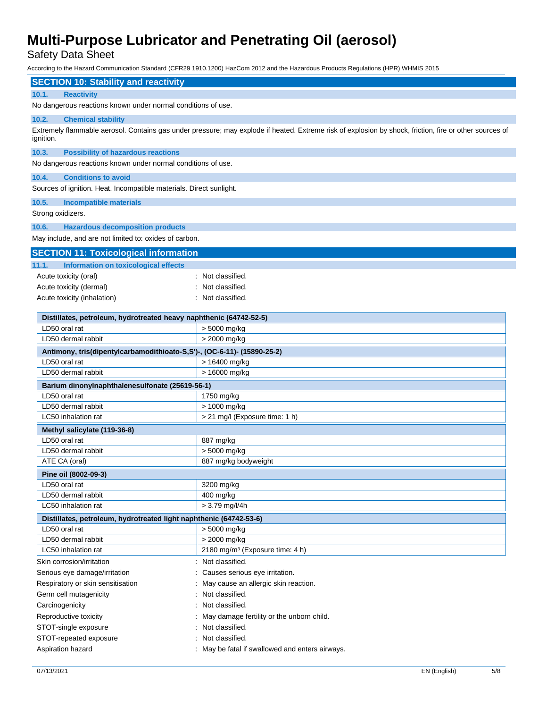Safety Data Sheet

According to the Hazard Communication Standard (CFR29 1910.1200) HazCom 2012 and the Hazardous Products Regulations (HPR) WHMIS 2015

| <b>SECTION 10: Stability and reactivity</b>                             |                                                                                                                                                         |
|-------------------------------------------------------------------------|---------------------------------------------------------------------------------------------------------------------------------------------------------|
| <b>Reactivity</b><br>10.1.                                              |                                                                                                                                                         |
| No dangerous reactions known under normal conditions of use.            |                                                                                                                                                         |
| 10.2.<br><b>Chemical stability</b>                                      |                                                                                                                                                         |
|                                                                         | Extremely flammable aerosol. Contains gas under pressure; may explode if heated. Extreme risk of explosion by shock, friction, fire or other sources of |
| ignition.                                                               |                                                                                                                                                         |
| 10.3.<br><b>Possibility of hazardous reactions</b>                      |                                                                                                                                                         |
| No dangerous reactions known under normal conditions of use.            |                                                                                                                                                         |
| 10.4.<br><b>Conditions to avoid</b>                                     |                                                                                                                                                         |
| Sources of ignition. Heat. Incompatible materials. Direct sunlight.     |                                                                                                                                                         |
| 10.5.<br><b>Incompatible materials</b>                                  |                                                                                                                                                         |
| Strong oxidizers.                                                       |                                                                                                                                                         |
|                                                                         |                                                                                                                                                         |
| 10.6.<br><b>Hazardous decomposition products</b>                        |                                                                                                                                                         |
| May include, and are not limited to: oxides of carbon.                  |                                                                                                                                                         |
| <b>SECTION 11: Toxicological information</b>                            |                                                                                                                                                         |
| 11.1.<br>Information on toxicological effects                           |                                                                                                                                                         |
| Acute toxicity (oral)                                                   | : Not classified.                                                                                                                                       |
| Acute toxicity (dermal)                                                 | Not classified.                                                                                                                                         |
| Acute toxicity (inhalation)                                             | Not classified                                                                                                                                          |
|                                                                         |                                                                                                                                                         |
| Distillates, petroleum, hydrotreated heavy naphthenic (64742-52-5)      |                                                                                                                                                         |
| LD50 oral rat                                                           | > 5000 mg/kg                                                                                                                                            |
| LD50 dermal rabbit                                                      | > 2000 mg/kg                                                                                                                                            |
| Antimony, tris(dipentylcarbamodithioato-S,S')-, (OC-6-11)- (15890-25-2) |                                                                                                                                                         |
| LD50 oral rat                                                           | > 16400 mg/kg                                                                                                                                           |
| LD50 dermal rabbit                                                      | > 16000 mg/kg                                                                                                                                           |
| Barium dinonylnaphthalenesulfonate (25619-56-1)                         |                                                                                                                                                         |
| LD50 oral rat                                                           | 1750 mg/kg                                                                                                                                              |
| LD50 dermal rabbit                                                      | > 1000 mg/kg                                                                                                                                            |
| LC50 inhalation rat                                                     | > 21 mg/l (Exposure time: 1 h)                                                                                                                          |
| Methyl salicylate (119-36-8)                                            |                                                                                                                                                         |
| LD50 oral rat                                                           | 887 mg/kg                                                                                                                                               |
| LD50 dermal rabbit                                                      | > 5000 mg/kg                                                                                                                                            |
| ATE CA (oral)                                                           | 887 mg/kg bodyweight                                                                                                                                    |
| Pine oil (8002-09-3)                                                    |                                                                                                                                                         |
| LD50 oral rat                                                           | 3200 mg/kg                                                                                                                                              |
| LD50 dermal rabbit                                                      | 400 mg/kg                                                                                                                                               |
| LC50 inhalation rat                                                     | > 3.79 mg/l/4h                                                                                                                                          |
| Distillates, petroleum, hydrotreated light naphthenic (64742-53-6)      |                                                                                                                                                         |
| LD50 oral rat                                                           | > 5000 mg/kg                                                                                                                                            |
| LD50 dermal rabbit                                                      | > 2000 mg/kg                                                                                                                                            |
| LC50 inhalation rat                                                     | 2180 mg/m <sup>3</sup> (Exposure time: 4 h)                                                                                                             |
| Skin corrosion/irritation                                               | Not classified.                                                                                                                                         |
| Serious eye damage/irritation                                           | Causes serious eye irritation.                                                                                                                          |
| Respiratory or skin sensitisation                                       | May cause an allergic skin reaction.                                                                                                                    |
| Germ cell mutagenicity                                                  | Not classified.                                                                                                                                         |
| Carcinogenicity                                                         | Not classified.                                                                                                                                         |
| Reproductive toxicity                                                   | May damage fertility or the unborn child.                                                                                                               |
| STOT-single exposure                                                    | Not classified.                                                                                                                                         |
| STOT-repeated exposure                                                  | Not classified.                                                                                                                                         |
| Aspiration hazard                                                       | : May be fatal if swallowed and enters airways.                                                                                                         |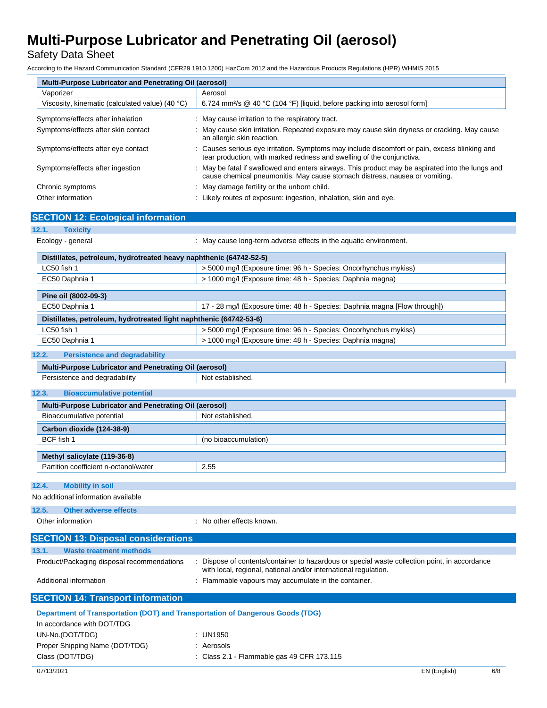Safety Data Sheet

According to the Hazard Communication Standard (CFR29 1910.1200) HazCom 2012 and the Hazardous Products Regulations (HPR) WHMIS 2015

| Multi-Purpose Lubricator and Penetrating Oil (aerosol)                         |                                                                                                                                                                                 |  |  |  |
|--------------------------------------------------------------------------------|---------------------------------------------------------------------------------------------------------------------------------------------------------------------------------|--|--|--|
| Vaporizer                                                                      | Aerosol                                                                                                                                                                         |  |  |  |
| Viscosity, kinematic (calculated value) (40 °C)                                | 6.724 mm <sup>2</sup> /s @ 40 °C (104 °F) [liquid, before packing into aerosol form]                                                                                            |  |  |  |
| Symptoms/effects after inhalation                                              | : May cause irritation to the respiratory tract.                                                                                                                                |  |  |  |
| Symptoms/effects after skin contact                                            | : May cause skin irritation. Repeated exposure may cause skin dryness or cracking. May cause<br>an allergic skin reaction.                                                      |  |  |  |
| Symptoms/effects after eye contact                                             | Causes serious eye irritation. Symptoms may include discomfort or pain, excess blinking and<br>tear production, with marked redness and swelling of the conjunctiva.            |  |  |  |
| Symptoms/effects after ingestion                                               | : May be fatal if swallowed and enters airways. This product may be aspirated into the lungs and<br>cause chemical pneumonitis. May cause stomach distress, nausea or vomiting. |  |  |  |
| Chronic symptoms                                                               | May damage fertility or the unborn child.                                                                                                                                       |  |  |  |
| Other information                                                              | : Likely routes of exposure: ingestion, inhalation, skin and eye.                                                                                                               |  |  |  |
|                                                                                |                                                                                                                                                                                 |  |  |  |
| <b>SECTION 12: Ecological information</b>                                      |                                                                                                                                                                                 |  |  |  |
| 12.1.<br><b>Toxicity</b><br>Ecology - general                                  | : May cause long-term adverse effects in the aquatic environment.                                                                                                               |  |  |  |
| Distillates, petroleum, hydrotreated heavy naphthenic (64742-52-5)             |                                                                                                                                                                                 |  |  |  |
| LC50 fish 1                                                                    | > 5000 mg/l (Exposure time: 96 h - Species: Oncorhynchus mykiss)                                                                                                                |  |  |  |
| EC50 Daphnia 1                                                                 | > 1000 mg/l (Exposure time: 48 h - Species: Daphnia magna)                                                                                                                      |  |  |  |
|                                                                                |                                                                                                                                                                                 |  |  |  |
| Pine oil (8002-09-3)                                                           |                                                                                                                                                                                 |  |  |  |
| EC50 Daphnia 1                                                                 | 17 - 28 mg/l (Exposure time: 48 h - Species: Daphnia magna [Flow through])                                                                                                      |  |  |  |
| Distillates, petroleum, hydrotreated light naphthenic (64742-53-6)             |                                                                                                                                                                                 |  |  |  |
| LC50 fish 1                                                                    | > 5000 mg/l (Exposure time: 96 h - Species: Oncorhynchus mykiss)                                                                                                                |  |  |  |
| EC50 Daphnia 1                                                                 | > 1000 mg/l (Exposure time: 48 h - Species: Daphnia magna)                                                                                                                      |  |  |  |
| 12.2.<br><b>Persistence and degradability</b>                                  |                                                                                                                                                                                 |  |  |  |
| Multi-Purpose Lubricator and Penetrating Oil (aerosol)                         |                                                                                                                                                                                 |  |  |  |
| Persistence and degradability                                                  | Not established.                                                                                                                                                                |  |  |  |
| 12.3.<br><b>Bioaccumulative potential</b>                                      |                                                                                                                                                                                 |  |  |  |
| Multi-Purpose Lubricator and Penetrating Oil (aerosol)                         |                                                                                                                                                                                 |  |  |  |
| Bioaccumulative potential                                                      | Not established.                                                                                                                                                                |  |  |  |
| Carbon dioxide (124-38-9)                                                      |                                                                                                                                                                                 |  |  |  |
| BCF fish 1                                                                     | (no bioaccumulation)                                                                                                                                                            |  |  |  |
| Methyl salicylate (119-36-8)                                                   |                                                                                                                                                                                 |  |  |  |
| Partition coefficient n-octanol/water                                          | 2.55                                                                                                                                                                            |  |  |  |
|                                                                                |                                                                                                                                                                                 |  |  |  |
| 12.4.<br><b>Mobility in soil</b>                                               |                                                                                                                                                                                 |  |  |  |
| No additional information available                                            |                                                                                                                                                                                 |  |  |  |
| 12.5.<br><b>Other adverse effects</b>                                          |                                                                                                                                                                                 |  |  |  |
| Other information                                                              | : No other effects known.                                                                                                                                                       |  |  |  |
| <b>SECTION 13: Disposal considerations</b>                                     |                                                                                                                                                                                 |  |  |  |
| 13.1.<br><b>Waste treatment methods</b>                                        |                                                                                                                                                                                 |  |  |  |
| Product/Packaging disposal recommendations                                     | Dispose of contents/container to hazardous or special waste collection point, in accordance<br>with local, regional, national and/or international regulation.                  |  |  |  |
| Additional information                                                         | : Flammable vapours may accumulate in the container.                                                                                                                            |  |  |  |
| <b>SECTION 14: Transport information</b>                                       |                                                                                                                                                                                 |  |  |  |
| Department of Transportation (DOT) and Transportation of Dangerous Goods (TDG) |                                                                                                                                                                                 |  |  |  |
| In accordance with DOT/TDG                                                     |                                                                                                                                                                                 |  |  |  |
| UN-No.(DOT/TDG)                                                                | : UN1950                                                                                                                                                                        |  |  |  |
| Proper Shipping Name (DOT/TDG)                                                 | : Aerosols                                                                                                                                                                      |  |  |  |

Class (DOT/TDG) : Class 2.1 - Flammable gas 49 CFR 173.115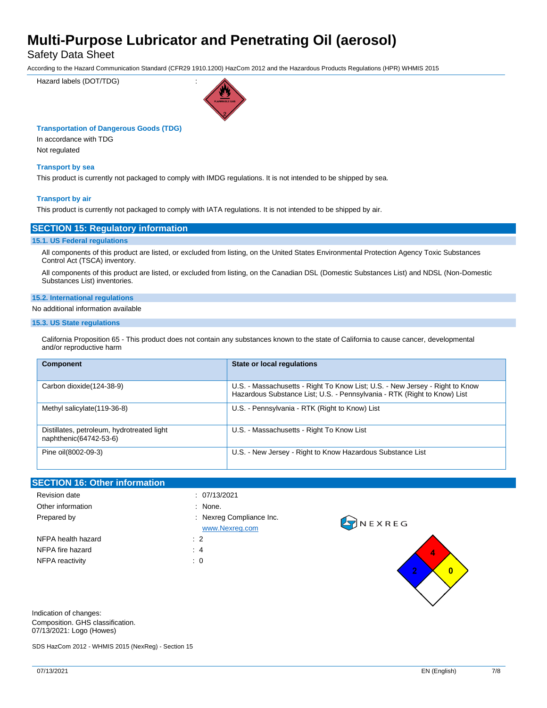Safety Data Sheet

According to the Hazard Communication Standard (CFR29 1910.1200) HazCom 2012 and the Hazardous Products Regulations (HPR) WHMIS 2015

Hazard labels (DOT/TDG) :



### **Transportation of Dangerous Goods (TDG)**

In accordance with TDG Not regulated

### **Transport by sea**

This product is currently not packaged to comply with IMDG regulations. It is not intended to be shipped by sea.

### **Transport by air**

This product is currently not packaged to comply with IATA regulations. It is not intended to be shipped by air.

### **SECTION 15: Regulatory information**

#### **15.1. US Federal regulations**

All components of this product are listed, or excluded from listing, on the United States Environmental Protection Agency Toxic Substances Control Act (TSCA) inventory.

All components of this product are listed, or excluded from listing, on the Canadian DSL (Domestic Substances List) and NDSL (Non-Domestic Substances List) inventories.

#### **15.2. International regulations**

### No additional information available

#### **15.3. US State regulations**

California Proposition 65 - This product does not contain any substances known to the state of California to cause cancer, developmental and/or reproductive harm

| <b>Component</b>                                                     | <b>State or local requlations</b>                                                                                                                        |  |
|----------------------------------------------------------------------|----------------------------------------------------------------------------------------------------------------------------------------------------------|--|
| Carbon dioxide (124-38-9)                                            | U.S. - Massachusetts - Right To Know List; U.S. - New Jersey - Right to Know<br>Hazardous Substance List; U.S. - Pennsylvania - RTK (Right to Know) List |  |
| Methyl salicylate (119-36-8)                                         | U.S. - Pennsylvania - RTK (Right to Know) List                                                                                                           |  |
| Distillates, petroleum, hydrotreated light<br>naphthenic(64742-53-6) | U.S. - Massachusetts - Right To Know List                                                                                                                |  |
| Pine oil(8002-09-3)                                                  | U.S. - New Jersey - Right to Know Hazardous Substance List                                                                                               |  |

| <b>SECTION 16: Other information</b> |                                          |         |
|--------------------------------------|------------------------------------------|---------|
| Revision date                        | : 07/13/2021                             |         |
| Other information                    | : None.                                  |         |
| Prepared by                          | Nexreg Compliance Inc.<br>www.Nexreg.com | ONEXREG |
| NFPA health hazard                   | $\therefore$ 2                           |         |
| NFPA fire hazard                     | : 4                                      | 4       |
| NFPA reactivity                      | $\therefore$ 0                           |         |

Indication of changes: Composition. GHS classification. 07/13/2021: Logo (Howes)

SDS HazCom 2012 - WHMIS 2015 (NexReg) - Section 15